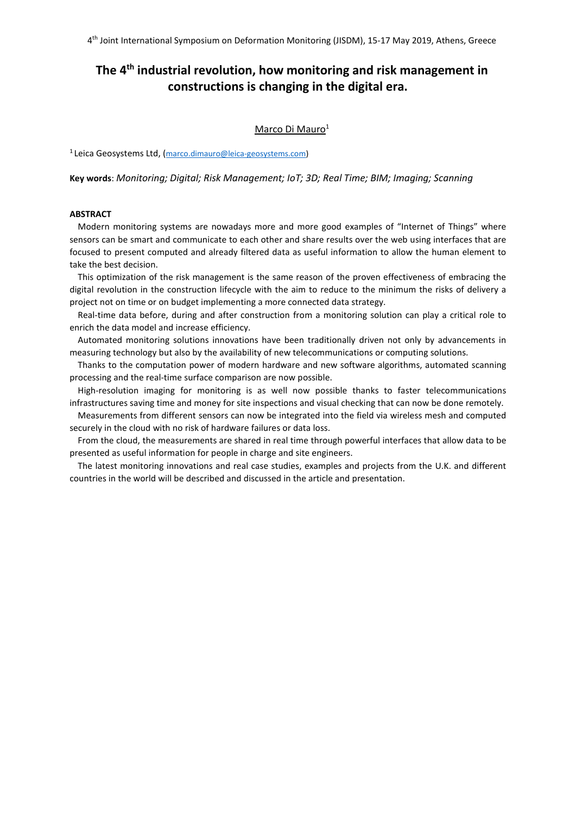# **The 4th industrial revolution, how monitoring and risk management in constructions is changing in the digital era.**

### Marco Di Mauro<sup>1</sup>

1 Leica Geosystems Ltd, (marco.dimauro@leica-geosystems.com)

**Key words**: *Monitoring; Digital; Risk Management; IoT; 3D; Real Time; BIM; Imaging; Scanning*

### **ABSTRACT**

Modern monitoring systems are nowadays more and more good examples of "Internet of Things" where sensors can be smart and communicate to each other and share results over the web using interfaces that are focused to present computed and already filtered data as useful information to allow the human element to take the best decision.

This optimization of the risk management is the same reason of the proven effectiveness of embracing the digital revolution in the construction lifecycle with the aim to reduce to the minimum the risks of delivery a project not on time or on budget implementing a more connected data strategy.

Real-time data before, during and after construction from a monitoring solution can play a critical role to enrich the data model and increase efficiency.

Automated monitoring solutions innovations have been traditionally driven not only by advancements in measuring technology but also by the availability of new telecommunications or computing solutions.

Thanks to the computation power of modern hardware and new software algorithms, automated scanning processing and the real-time surface comparison are now possible.

High-resolution imaging for monitoring is as well now possible thanks to faster telecommunications infrastructures saving time and money for site inspections and visual checking that can now be done remotely.

Measurements from different sensors can now be integrated into the field via wireless mesh and computed securely in the cloud with no risk of hardware failures or data loss.

From the cloud, the measurements are shared in real time through powerful interfaces that allow data to be presented as useful information for people in charge and site engineers.

The latest monitoring innovations and real case studies, examples and projects from the U.K. and different countries in the world will be described and discussed in the article and presentation.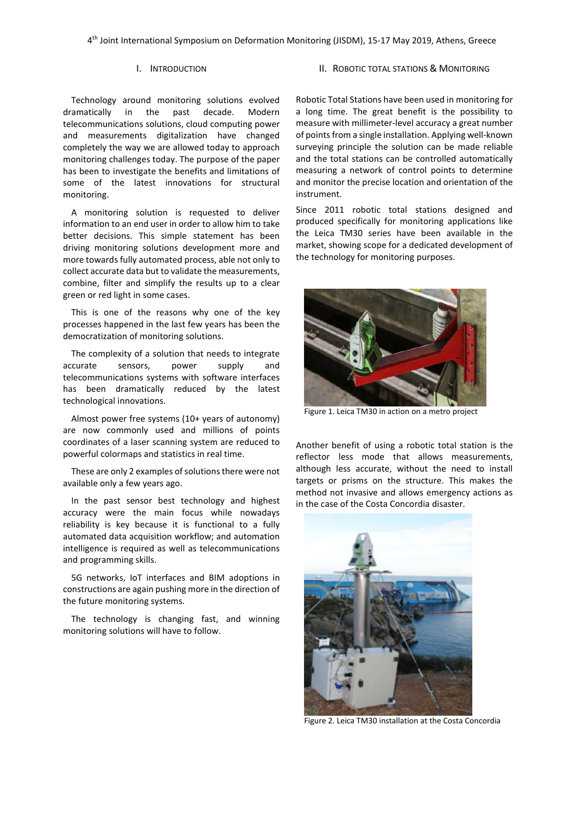# I. INTRODUCTION

Technology around monitoring solutions evolved dramatically in the past decade. Modern telecommunications solutions, cloud computing power and measurements digitalization have changed completely the way we are allowed today to approach monitoring challenges today. The purpose of the paper has been to investigate the benefits and limitations of some of the latest innovations for structural monitoring.

A monitoring solution is requested to deliver information to an end user in order to allow him to take better decisions. This simple statement has been driving monitoring solutions development more and more towards fully automated process, able not only to collect accurate data but to validate the measurements, combine, filter and simplify the results up to a clear green or red light in some cases.

This is one of the reasons why one of the key processes happened in the last few years has been the democratization of monitoring solutions.

The complexity of a solution that needs to integrate accurate sensors, power supply and telecommunications systems with software interfaces has been dramatically reduced by the latest technological innovations.

Almost power free systems (10+ years of autonomy) are now commonly used and millions of points coordinates of a laser scanning system are reduced to powerful colormaps and statistics in real time.

These are only 2 examples of solutions there were not available only a few years ago.

In the past sensor best technology and highest accuracy were the main focus while nowadays reliability is key because it is functional to a fully automated data acquisition workflow; and automation intelligence is required as well as telecommunications and programming skills.

5G networks, IoT interfaces and BIM adoptions in constructions are again pushing more in the direction of the future monitoring systems.

The technology is changing fast, and winning monitoring solutions will have to follow.

# II. ROBOTIC TOTAL STATIONS & MONITORING

Robotic Total Stations have been used in monitoring for a long time. The great benefit is the possibility to measure with millimeter-level accuracy a great number of points from a single installation. Applying well-known surveying principle the solution can be made reliable and the total stations can be controlled automatically measuring a network of control points to determine and monitor the precise location and orientation of the instrument.

Since 2011 robotic total stations designed and produced specifically for monitoring applications like the Leica TM30 series have been available in the market, showing scope for a dedicated development of the technology for monitoring purposes.



Figure 1. Leica TM30 in action on a metro project

Another benefit of using a robotic total station is the reflector less mode that allows measurements, although less accurate, without the need to install targets or prisms on the structure. This makes the method not invasive and allows emergency actions as in the case of the Costa Concordia disaster.



Figure 2. Leica TM30 installation at the Costa Concordia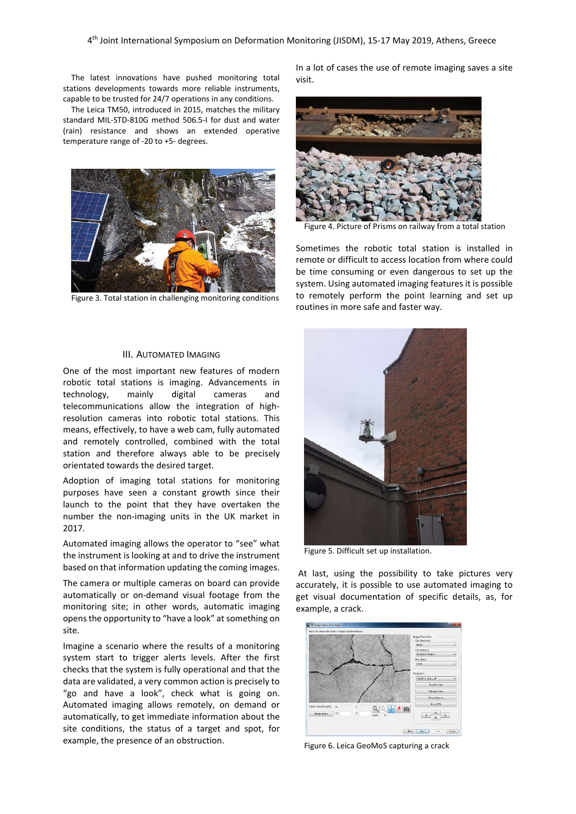The latest innovations have pushed monitoring total stations developments towards more reliable instruments, capable to be trusted for 24/7 operations in any conditions.

The Leica TM50, introduced in 2015, matches the military standard MIL-STD-810G method 506.5-I for dust and water (rain) resistance and shows an extended operative temperature range of -20 to +5- degrees.



Figure 3. Total station in challenging monitoring conditions

#### III. AUTOMATED IMAGING

One of the most important new features of modern robotic total stations is imaging. Advancements in technology, mainly digital cameras and telecommunications allow the integration of highresolution cameras into robotic total stations. This means, effectively, to have a web cam, fully automated and remotely controlled, combined with the total station and therefore always able to be precisely orientated towards the desired target.

Adoption of imaging total stations for monitoring purposes have seen a constant growth since their launch to the point that they have overtaken the number the non-imaging units in the UK market in 2017.

Automated imaging allows the operator to "see" what the instrument is looking at and to drive the instrument based on that information updating the coming images.

The camera or multiple cameras on board can provide automatically or on-demand visual footage from the monitoring site; in other words, automatic imaging opens the opportunity to "have a look" at something on site.

Imagine a scenario where the results of a monitoring system start to trigger alerts levels. After the first checks that the system is fully operational and that the data are validated, a very common action is precisely to "go and have a look", check what is going on. Automated imaging allows remotely, on demand or automatically, to get immediate information about the site conditions, the status of a target and spot, for example, the presence of an obstruction.

In a lot of cases the use of remote imaging saves a site visit.



Figure 4. Picture of Prisms on railway from a total station

Sometimes the robotic total station is installed in remote or difficult to access location from where could be time consuming or even dangerous to set up the system. Using automated imaging features it is possible to remotely perform the point learning and set up routines in more safe and faster way.



Figure 5. Difficult set up installation.

At last, using the possibility to take pictures very accurately, it is possible to use automated imaging to get visual documentation of specific details, as, for example, a crack.



Figure 6. Leica GeoMoS capturing a crack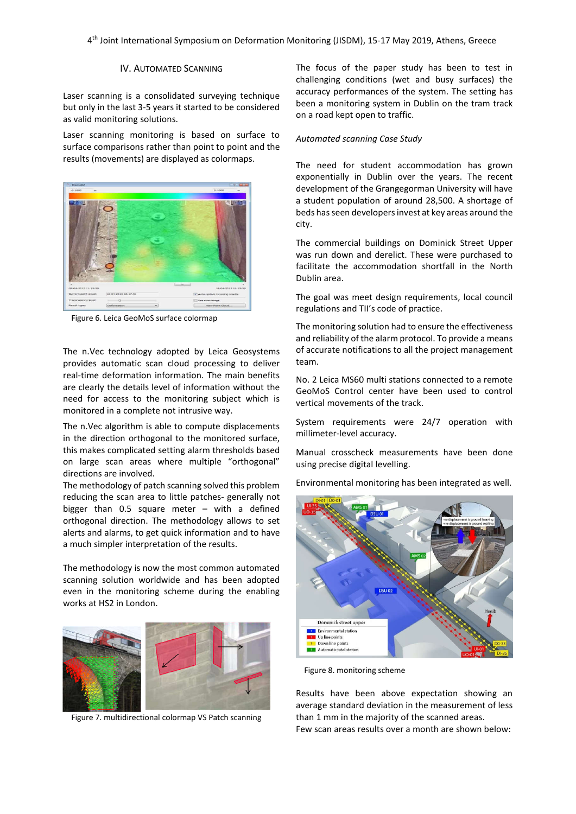# IV. AUTOMATED SCANNING

Laser scanning is a consolidated surveying technique but only in the last 3-5 years it started to be considered as valid monitoring solutions.

Laser scanning monitoring is based on surface to surface comparisons rather than point to point and the results (movements) are displayed as colormaps.



Figure 6. Leica GeoMoS surface colormap

The n.Vec technology adopted by Leica Geosystems provides automatic scan cloud processing to deliver real-time deformation information. The main benefits are clearly the details level of information without the need for access to the monitoring subject which is monitored in a complete not intrusive way.

The n.Vec algorithm is able to compute displacements in the direction orthogonal to the monitored surface, this makes complicated setting alarm thresholds based on large scan areas where multiple "orthogonal" directions are involved.

The methodology of patch scanning solved this problem reducing the scan area to little patches- generally not bigger than 0.5 square meter – with a defined orthogonal direction. The methodology allows to set alerts and alarms, to get quick information and to have a much simpler interpretation of the results.

The methodology is now the most common automated scanning solution worldwide and has been adopted even in the monitoring scheme during the enabling works at HS2 in London.



Figure 7. multidirectional colormap VS Patch scanning

The focus of the paper study has been to test in challenging conditions (wet and busy surfaces) the accuracy performances of the system. The setting has been a monitoring system in Dublin on the tram track on a road kept open to traffic.

#### *Automated scanning Case Study*

The need for student accommodation has grown exponentially in Dublin over the years. The recent development of the Grangegorman University will have a student population of around 28,500. A shortage of beds has seen developers invest at key areas around the city.

The commercial buildings on Dominick Street Upper was run down and derelict. These were purchased to facilitate the accommodation shortfall in the North Dublin area.

The goal was meet design requirements, local council regulations and TII's code of practice.

The monitoring solution had to ensure the effectiveness and reliability of the alarm protocol. To provide a means of accurate notifications to all the project management team.

No. 2 Leica MS60 multi stations connected to a remote GeoMoS Control center have been used to control vertical movements of the track.

System requirements were 24/7 operation with millimeter-level accuracy.

Manual crosscheck measurements have been done using precise digital levelling.

Environmental monitoring has been integrated as well.



Figure 8. monitoring scheme

Results have been above expectation showing an average standard deviation in the measurement of less than 1 mm in the majority of the scanned areas. Few scan areas results over a month are shown below: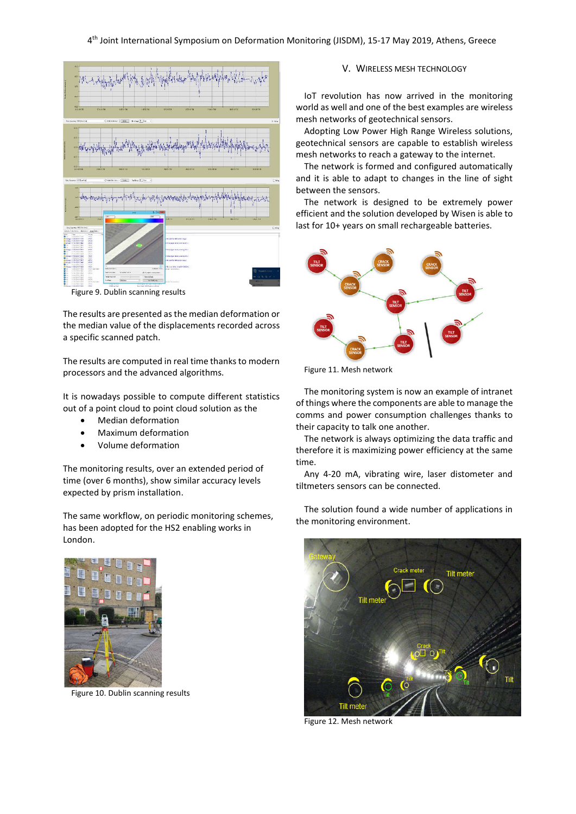

Figure 9. Dublin scanning results

The results are presented as the median deformation or the median value of the displacements recorded across a specific scanned patch.

The results are computed in real time thanks to modern processors and the advanced algorithms.

It is nowadays possible to compute different statistics out of a point cloud to point cloud solution as the

- Median deformation
- Maximum deformation
- Volume deformation

The monitoring results, over an extended period of time (over 6 months), show similar accuracy levels expected by prism installation.

The same workflow, on periodic monitoring schemes, has been adopted for the HS2 enabling works in London.



Figure 10. Dublin scanning results

## V. WIRELESS MESH TECHNOLOGY

IoT revolution has now arrived in the monitoring world as well and one of the best examples are wireless mesh networks of geotechnical sensors.

Adopting Low Power High Range Wireless solutions, geotechnical sensors are capable to establish wireless mesh networks to reach a gateway to the internet.

The network is formed and configured automatically and it is able to adapt to changes in the line of sight between the sensors.

The network is designed to be extremely power efficient and the solution developed by Wisen is able to last for 10+ years on small rechargeable batteries.



Figure 11. Mesh network

The monitoring system is now an example of intranet of things where the components are able to manage the comms and power consumption challenges thanks to their capacity to talk one another.

The network is always optimizing the data traffic and therefore it is maximizing power efficiency at the same time.

Any 4-20 mA, vibrating wire, laser distometer and tiltmeters sensors can be connected.

The solution found a wide number of applications in the monitoring environment.



Figure 12. Mesh network